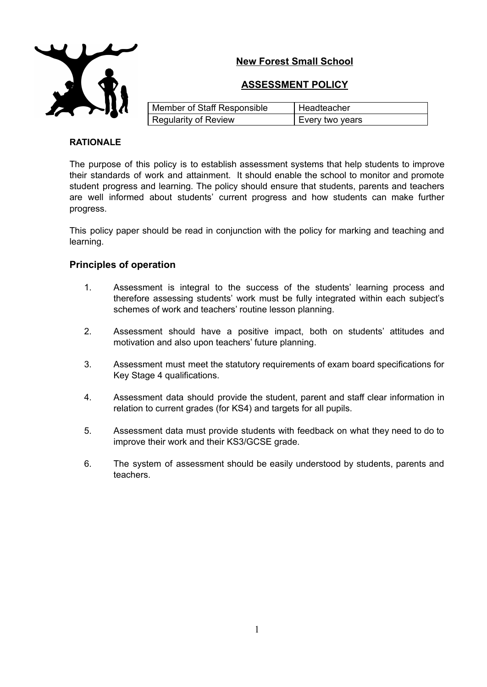# **New Forest Small School**



|  |  |  |  | <b>ASSESSMENT POLICY</b> |  |  |
|--|--|--|--|--------------------------|--|--|
|  |  |  |  |                          |  |  |

| Member of Staff Responsible | Headteacher     |
|-----------------------------|-----------------|
| Regularity of Review        | Every two years |

#### **RATIONALE**

The purpose of this policy is to establish assessment systems that help students to improve their standards of work and attainment. It should enable the school to monitor and promote student progress and learning. The policy should ensure that students, parents and teachers are well informed about students' current progress and how students can make further progress.

This policy paper should be read in conjunction with the policy for marking and teaching and learning.

### **Principles of operation**

- 1. Assessment is integral to the success of the students' learning process and therefore assessing students' work must be fully integrated within each subject's schemes of work and teachers' routine lesson planning.
- 2. Assessment should have a positive impact, both on students' attitudes and motivation and also upon teachers' future planning.
- 3. Assessment must meet the statutory requirements of exam board specifications for Key Stage 4 qualifications.
- 4. Assessment data should provide the student, parent and staff clear information in relation to current grades (for KS4) and targets for all pupils.
- 5. Assessment data must provide students with feedback on what they need to do to improve their work and their KS3/GCSE grade.
- 6. The system of assessment should be easily understood by students, parents and teachers.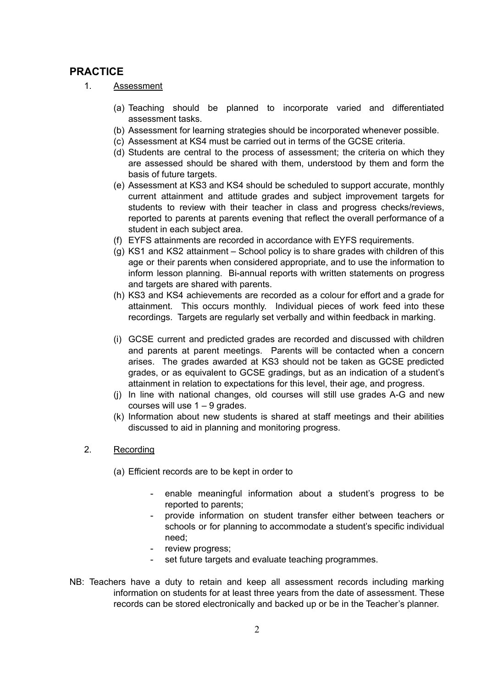## **PRACTICE**

- 1. Assessment
	- (a) Teaching should be planned to incorporate varied and differentiated assessment tasks.
	- (b) Assessment for learning strategies should be incorporated whenever possible.
	- (c) Assessment at KS4 must be carried out in terms of the GCSE criteria.
	- (d) Students are central to the process of assessment; the criteria on which they are assessed should be shared with them, understood by them and form the basis of future targets.
	- (e) Assessment at KS3 and KS4 should be scheduled to support accurate, monthly current attainment and attitude grades and subject improvement targets for students to review with their teacher in class and progress checks/reviews, reported to parents at parents evening that reflect the overall performance of a student in each subject area.
	- (f) EYFS attainments are recorded in accordance with EYFS requirements.
	- (g) KS1 and KS2 attainment School policy is to share grades with children of this age or their parents when considered appropriate, and to use the information to inform lesson planning. Bi-annual reports with written statements on progress and targets are shared with parents.
	- (h) KS3 and KS4 achievements are recorded as a colour for effort and a grade for attainment. This occurs monthly. Individual pieces of work feed into these recordings. Targets are regularly set verbally and within feedback in marking.
	- (i) GCSE current and predicted grades are recorded and discussed with children and parents at parent meetings. Parents will be contacted when a concern arises. The grades awarded at KS3 should not be taken as GCSE predicted grades, or as equivalent to GCSE gradings, but as an indication of a student's attainment in relation to expectations for this level, their age, and progress.
	- (j) In line with national changes, old courses will still use grades A-G and new courses will use 1 – 9 grades.
	- (k) Information about new students is shared at staff meetings and their abilities discussed to aid in planning and monitoring progress.
- 2. Recording
	- (a) Efficient records are to be kept in order to
		- enable meaningful information about a student's progress to be reported to parents;
		- provide information on student transfer either between teachers or schools or for planning to accommodate a student's specific individual need;
		- review progress;
		- set future targets and evaluate teaching programmes.
- NB: Teachers have a duty to retain and keep all assessment records including marking information on students for at least three years from the date of assessment. These records can be stored electronically and backed up or be in the Teacher's planner.